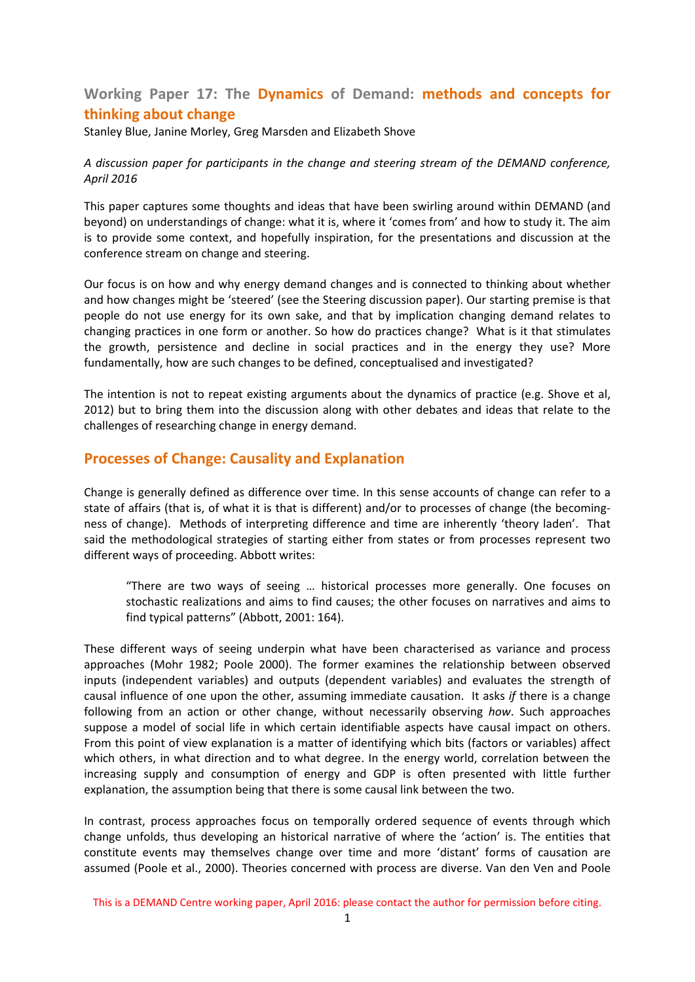# **Working Paper 17: The Dynamics of Demand: methods and concepts for thinking about change**

Stanley Blue, Janine Morley, Greg Marsden and Elizabeth Shove

#### *A discussion paper for participants in the change and steering stream of the DEMAND conference, April 2016*

This paper captures some thoughts and ideas that have been swirling around within DEMAND (and beyond) on understandings of change: what it is, where it 'comes from' and how to study it. The aim is to provide some context, and hopefully inspiration, for the presentations and discussion at the conference stream on change and steering.

Our focus is on how and why energy demand changes and is connected to thinking about whether and how changes might be 'steered' (see the Steering discussion paper). Our starting premise is that people do not use energy for its own sake, and that by implication changing demand relates to changing practices in one form or another. So how do practices change? What is it that stimulates the growth, persistence and decline in social practices and in the energy they use? More fundamentally, how are such changes to be defined, conceptualised and investigated?

The intention is not to repeat existing arguments about the dynamics of practice (e.g. Shove et al, 2012) but to bring them into the discussion along with other debates and ideas that relate to the challenges of researching change in energy demand.

## **Processes of Change: Causality and Explanation**

Change is generally defined as difference over time. In this sense accounts of change can refer to a state of affairs (that is, of what it is that is different) and/or to processes of change (the becoming‐ ness of change). Methods of interpreting difference and time are inherently 'theory laden'. That said the methodological strategies of starting either from states or from processes represent two different ways of proceeding. Abbott writes:

"There are two ways of seeing … historical processes more generally. One focuses on stochastic realizations and aims to find causes; the other focuses on narratives and aims to find typical patterns" (Abbott, 2001: 164).

These different ways of seeing underpin what have been characterised as variance and process approaches (Mohr 1982; Poole 2000). The former examines the relationship between observed inputs (independent variables) and outputs (dependent variables) and evaluates the strength of causal influence of one upon the other, assuming immediate causation. It asks *if* there is a change following from an action or other change, without necessarily observing *how*. Such approaches suppose a model of social life in which certain identifiable aspects have causal impact on others. From this point of view explanation is a matter of identifying which bits (factors or variables) affect which others, in what direction and to what degree. In the energy world, correlation between the increasing supply and consumption of energy and GDP is often presented with little further explanation, the assumption being that there is some causal link between the two.

In contrast, process approaches focus on temporally ordered sequence of events through which change unfolds, thus developing an historical narrative of where the 'action' is. The entities that constitute events may themselves change over time and more 'distant' forms of causation are assumed (Poole et al., 2000). Theories concerned with process are diverse. Van den Ven and Poole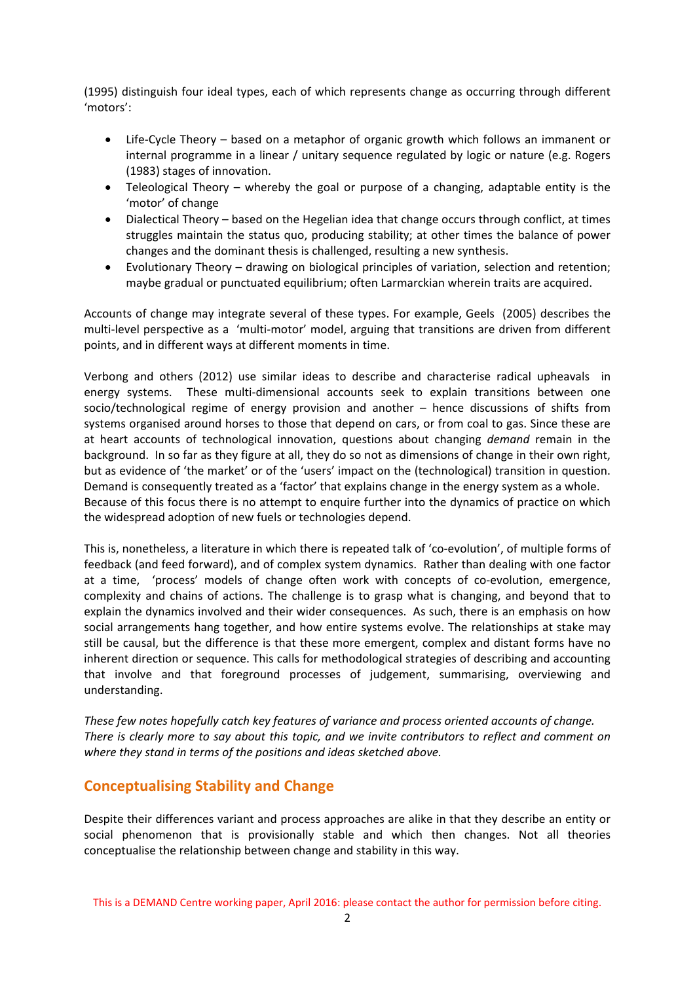(1995) distinguish four ideal types, each of which represents change as occurring through different 'motors':

- Life-Cycle Theory based on a metaphor of organic growth which follows an immanent or internal programme in a linear / unitary sequence regulated by logic or nature (e.g. Rogers (1983) stages of innovation.
- Teleological Theory whereby the goal or purpose of a changing, adaptable entity is the 'motor' of change
- Dialectical Theory based on the Hegelian idea that change occurs through conflict, at times struggles maintain the status quo, producing stability; at other times the balance of power changes and the dominant thesis is challenged, resulting a new synthesis.
- Evolutionary Theory drawing on biological principles of variation, selection and retention; maybe gradual or punctuated equilibrium; often Larmarckian wherein traits are acquired.

Accounts of change may integrate several of these types. For example, Geels (2005) describes the multi-level perspective as a 'multi-motor' model, arguing that transitions are driven from different points, and in different ways at different moments in time.

Verbong and others (2012) use similar ideas to describe and characterise radical upheavals in energy systems. These multi‐dimensional accounts seek to explain transitions between one socio/technological regime of energy provision and another – hence discussions of shifts from systems organised around horses to those that depend on cars, or from coal to gas. Since these are at heart accounts of technological innovation, questions about changing *demand* remain in the background. In so far as they figure at all, they do so not as dimensions of change in their own right, but as evidence of 'the market' or of the 'users' impact on the (technological) transition in question. Demand is consequently treated as a 'factor' that explains change in the energy system as a whole. Because of this focus there is no attempt to enquire further into the dynamics of practice on which the widespread adoption of new fuels or technologies depend.

This is, nonetheless, a literature in which there is repeated talk of 'co-evolution', of multiple forms of feedback (and feed forward), and of complex system dynamics. Rather than dealing with one factor at a time, 'process' models of change often work with concepts of co-evolution, emergence, complexity and chains of actions. The challenge is to grasp what is changing, and beyond that to explain the dynamics involved and their wider consequences. As such, there is an emphasis on how social arrangements hang together, and how entire systems evolve. The relationships at stake may still be causal, but the difference is that these more emergent, complex and distant forms have no inherent direction or sequence. This calls for methodological strategies of describing and accounting that involve and that foreground processes of judgement, summarising, overviewing and understanding.

*These few notes hopefully catch key features of variance and process oriented accounts of change.*  There is clearly more to say about this topic, and we invite contributors to reflect and comment on *where they stand in terms of the positions and ideas sketched above.*

## **Conceptualising Stability and Change**

Despite their differences variant and process approaches are alike in that they describe an entity or social phenomenon that is provisionally stable and which then changes. Not all theories conceptualise the relationship between change and stability in this way.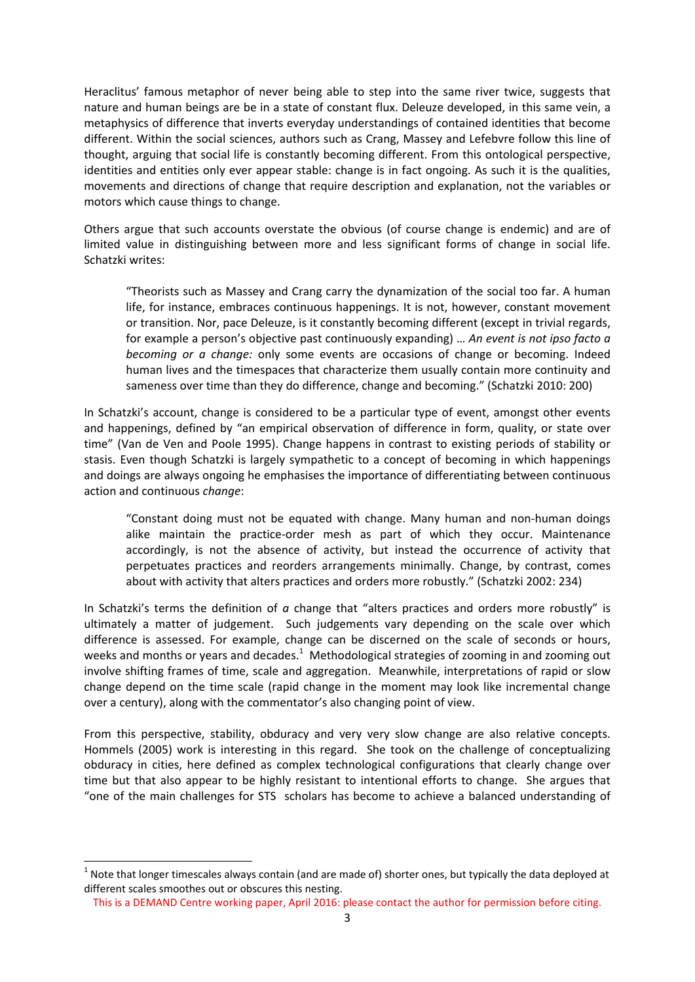Heraclitus' famous metaphor of never being able to step into the same river twice, suggests that nature and human beings are be in a state of constant flux. Deleuze developed, in this same vein, a metaphysics of difference that inverts everyday understandings of contained identities that become different. Within the social sciences, authors such as Crang, Massey and Lefebvre follow this line of thought, arguing that social life is constantly becoming different. From this ontological perspective, identities and entities only ever appear stable: change is in fact ongoing. As such it is the qualities, movements and directions of change that require description and explanation, not the variables or motors which cause things to change.

Others argue that such accounts overstate the obvious (of course change is endemic) and are of limited value in distinguishing between more and less significant forms of change in social life. Schatzki writes:

"Theorists such as Massey and Crang carry the dynamization of the social too far. A human life, for instance, embraces continuous happenings. It is not, however, constant movement or transition. Nor, pace Deleuze, is it constantly becoming different (except in trivial regards, for example a person's objective past continuously expanding) … *An event is not ipso facto a becoming or a change:* only some events are occasions of change or becoming. Indeed human lives and the timespaces that characterize them usually contain more continuity and sameness over time than they do difference, change and becoming." (Schatzki 2010: 200)

In Schatzki's account, change is considered to be a particular type of event, amongst other events and happenings, defined by "an empirical observation of difference in form, quality, or state over time" (Van de Ven and Poole 1995). Change happens in contrast to existing periods of stability or stasis. Even though Schatzki is largely sympathetic to a concept of becoming in which happenings and doings are always ongoing he emphasises the importance of differentiating between continuous action and continuous *change*:

"Constant doing must not be equated with change. Many human and non‐human doings alike maintain the practice-order mesh as part of which they occur. Maintenance accordingly, is not the absence of activity, but instead the occurrence of activity that perpetuates practices and reorders arrangements minimally. Change, by contrast, comes about with activity that alters practices and orders more robustly." (Schatzki 2002: 234)

In Schatzki's terms the definition of *a* change that "alters practices and orders more robustly" is ultimately a matter of judgement. Such judgements vary depending on the scale over which difference is assessed. For example, change can be discerned on the scale of seconds or hours, weeks and months or years and decades.<sup>1</sup> Methodological strategies of zooming in and zooming out involve shifting frames of time, scale and aggregation. Meanwhile, interpretations of rapid or slow change depend on the time scale (rapid change in the moment may look like incremental change over a century), along with the commentator's also changing point of view.

From this perspective, stability, obduracy and very very slow change are also relative concepts. Hommels (2005) work is interesting in this regard. She took on the challenge of conceptualizing obduracy in cities, here defined as complex technological configurations that clearly change over time but that also appear to be highly resistant to intentional efforts to change. She argues that "one of the main challenges for STS scholars has become to achieve a balanced understanding of

 

 $1$  Note that longer timescales always contain (and are made of) shorter ones, but typically the data deployed at different scales smoothes out or obscures this nesting.

This is a DEMAND Centre working paper, April 2016: please contact the author for permission before citing.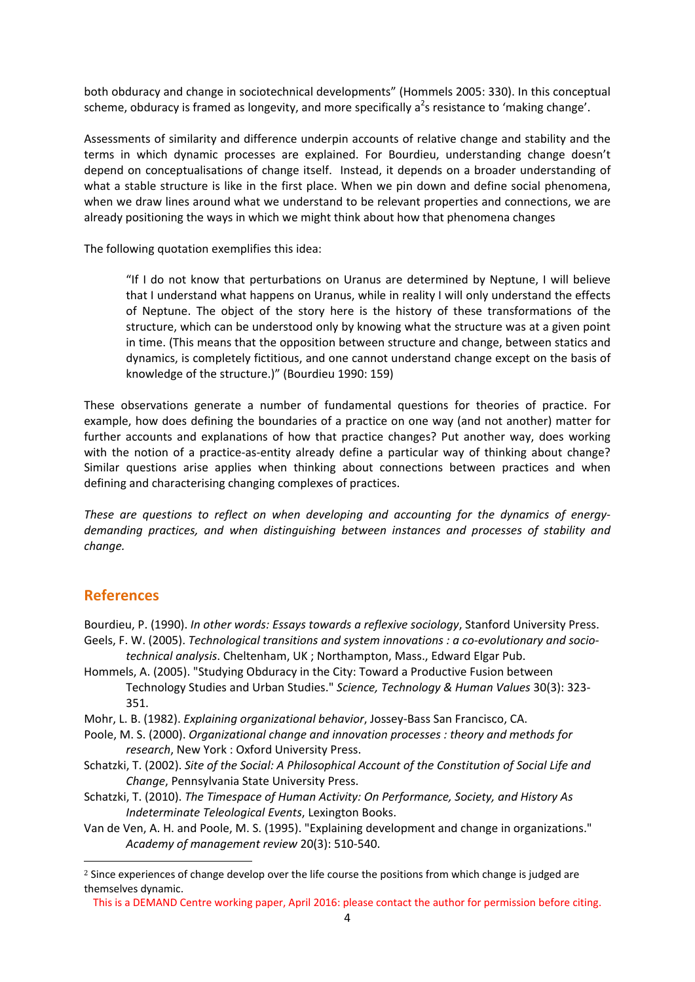both obduracy and change in sociotechnical developments" (Hommels 2005: 330). In this conceptual scheme, obduracy is framed as longevity, and more specifically a<sup>2</sup>s resistance to 'making change'.

Assessments of similarity and difference underpin accounts of relative change and stability and the terms in which dynamic processes are explained. For Bourdieu, understanding change doesn't depend on conceptualisations of change itself. Instead, it depends on a broader understanding of what a stable structure is like in the first place. When we pin down and define social phenomena, when we draw lines around what we understand to be relevant properties and connections, we are already positioning the ways in which we might think about how that phenomena changes

The following quotation exemplifies this idea:

"If I do not know that perturbations on Uranus are determined by Neptune, I will believe that I understand what happens on Uranus, while in reality I will only understand the effects of Neptune. The object of the story here is the history of these transformations of the structure, which can be understood only by knowing what the structure was at a given point in time. (This means that the opposition between structure and change, between statics and dynamics, is completely fictitious, and one cannot understand change except on the basis of knowledge of the structure.)" (Bourdieu 1990: 159)

These observations generate a number of fundamental questions for theories of practice. For example, how does defining the boundaries of a practice on one way (and not another) matter for further accounts and explanations of how that practice changes? Put another way, does working with the notion of a practice-as-entity already define a particular way of thinking about change? Similar questions arise applies when thinking about connections between practices and when defining and characterising changing complexes of practices.

*These are questions to reflect on when developing and accounting for the dynamics of energy‐ demanding practices, and when distinguishing between instances and processes of stability and change.*

## **References**

 

Bourdieu, P. (1990). *In other words: Essays towards a reflexive sociology*, Stanford University Press. Geels, F. W. (2005). *Technological transitions and system innovations : a co‐evolutionary and socio‐*

*technical analysis*. Cheltenham, UK ; Northampton, Mass., Edward Elgar Pub.

- Hommels, A. (2005). "Studying Obduracy in the City: Toward a Productive Fusion between Technology Studies and Urban Studies." *Science, Technology & Human Values* 30(3): 323‐ 351.
- Mohr, L. B. (1982). *Explaining organizational behavior*, Jossey‐Bass San Francisco, CA.

Poole, M. S. (2000). *Organizational change and innovation processes : theory and methods for research*, New York : Oxford University Press.

Schatzki, T. (2002). *Site of the Social: A Philosophical Account of the Constitution of Social Life and Change*, Pennsylvania State University Press.

Schatzki, T. (2010). *The Timespace of Human Activity: On Performance, Society, and History As Indeterminate Teleological Events*, Lexington Books.

Van de Ven, A. H. and Poole, M. S. (1995). "Explaining development and change in organizations." *Academy of management review* 20(3): 510‐540.

<sup>&</sup>lt;sup>2</sup> Since experiences of change develop over the life course the positions from which change is judged are themselves dynamic.

This is a DEMAND Centre working paper, April 2016: please contact the author for permission before citing.